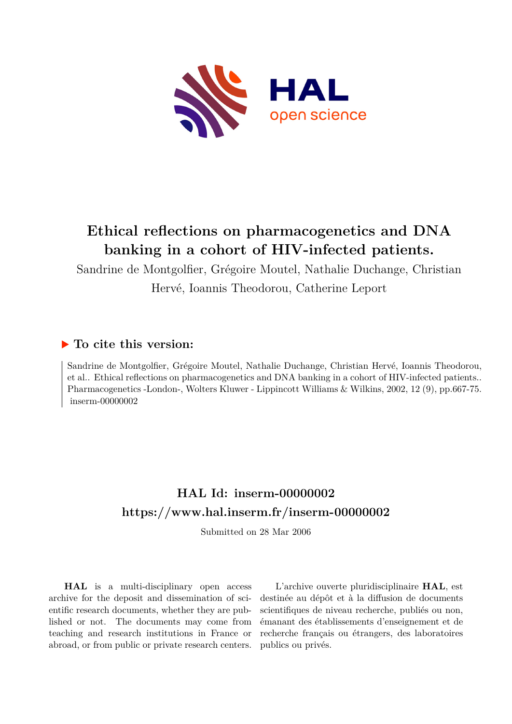

# **Ethical reflections on pharmacogenetics and DNA banking in a cohort of HIV-infected patients.**

Sandrine de Montgolfier, Grégoire Moutel, Nathalie Duchange, Christian Hervé, Ioannis Theodorou, Catherine Leport

# **To cite this version:**

Sandrine de Montgolfier, Grégoire Moutel, Nathalie Duchange, Christian Hervé, Ioannis Theodorou, et al.. Ethical reflections on pharmacogenetics and DNA banking in a cohort of HIV-infected patients.. Pharmacogenetics -London-, Wolters Kluwer - Lippincott Williams & Wilkins, 2002, 12 (9), pp.667-75.  $inserm-000000002$ 

# **HAL Id: inserm-00000002 <https://www.hal.inserm.fr/inserm-00000002>**

Submitted on 28 Mar 2006

**HAL** is a multi-disciplinary open access archive for the deposit and dissemination of scientific research documents, whether they are published or not. The documents may come from teaching and research institutions in France or abroad, or from public or private research centers.

L'archive ouverte pluridisciplinaire **HAL**, est destinée au dépôt et à la diffusion de documents scientifiques de niveau recherche, publiés ou non, émanant des établissements d'enseignement et de recherche français ou étrangers, des laboratoires publics ou privés.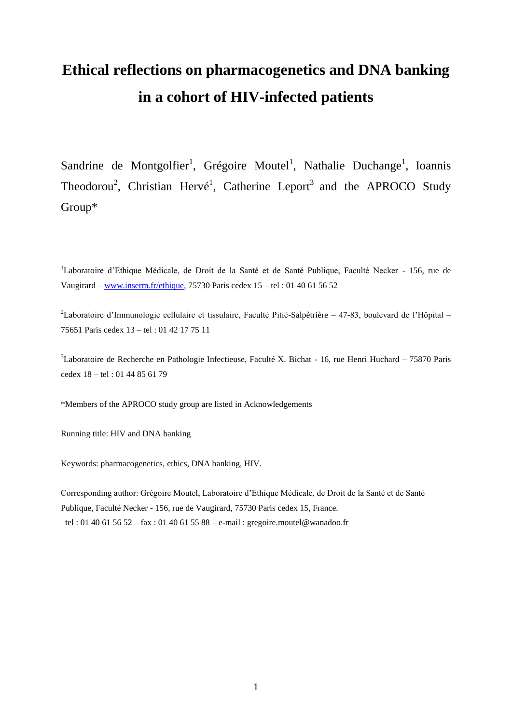# **Ethical reflections on pharmacogenetics and DNA banking in a cohort of HIV-infected patients**

Sandrine de Montgolfier<sup>1</sup>, Grégoire Moutel<sup>1</sup>, Nathalie Duchange<sup>1</sup>, Ioannis Theodorou<sup>2</sup>, Christian Hervé<sup>1</sup>, Catherine Leport<sup>3</sup> and the APROCO Study Group\*

<sup>1</sup>Laboratoire d'Ethique Médicale, de Droit de la Santé et de Santé Publique, Faculté Necker - 156, rue de Vaugirard – [www.inserm.fr/ethique,](http://www.inserm.fr/zethique) 75730 Paris cedex 15 – tel : 01 40 61 56 52

<sup>2</sup>Laboratoire d'Immunologie cellulaire et tissulaire, Faculté Pitié-Salpètrière – 47-83, boulevard de l'Hôpital – 75651 Paris cedex 13 – tel : 01 42 17 75 11

<sup>3</sup>Laboratoire de Recherche en Pathologie Infectieuse, Faculté X. Bichat - 16, rue Henri Huchard – 75870 Paris cedex 18 – tel : 01 44 85 61 79

\*Members of the APROCO study group are listed in Acknowledgements

Running title: HIV and DNA banking

Keywords: pharmacogenetics, ethics, DNA banking, HIV.

Corresponding author: Grégoire Moutel, Laboratoire d'Ethique Médicale, de Droit de la Santé et de Santé Publique, Faculté Necker - 156, rue de Vaugirard, 75730 Paris cedex 15, France. tel : 01 40 61 56 52 – fax : 01 40 61 55 88 – e-mail : [gregoire.moutel@wanadoo.fr](mailto:gregoire.moutel@wanadoo.fr)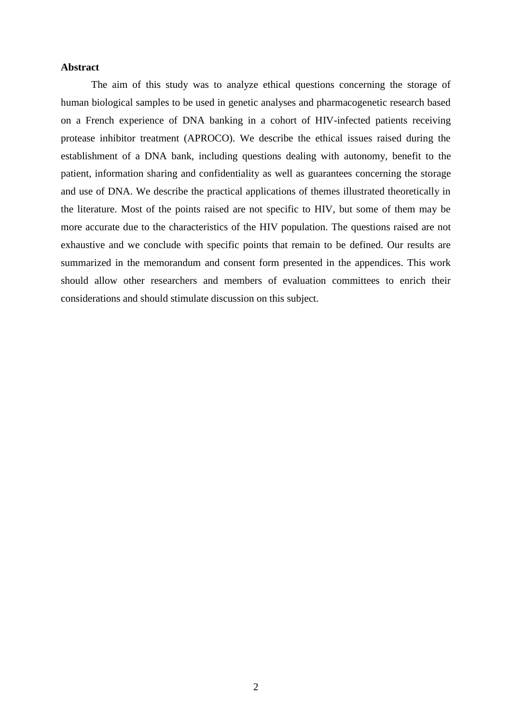#### **Abstract**

The aim of this study was to analyze ethical questions concerning the storage of human biological samples to be used in genetic analyses and pharmacogenetic research based on a French experience of DNA banking in a cohort of HIV-infected patients receiving protease inhibitor treatment (APROCO). We describe the ethical issues raised during the establishment of a DNA bank, including questions dealing with autonomy, benefit to the patient, information sharing and confidentiality as well as guarantees concerning the storage and use of DNA. We describe the practical applications of themes illustrated theoretically in the literature. Most of the points raised are not specific to HIV, but some of them may be more accurate due to the characteristics of the HIV population. The questions raised are not exhaustive and we conclude with specific points that remain to be defined. Our results are summarized in the memorandum and consent form presented in the appendices. This work should allow other researchers and members of evaluation committees to enrich their considerations and should stimulate discussion on this subject.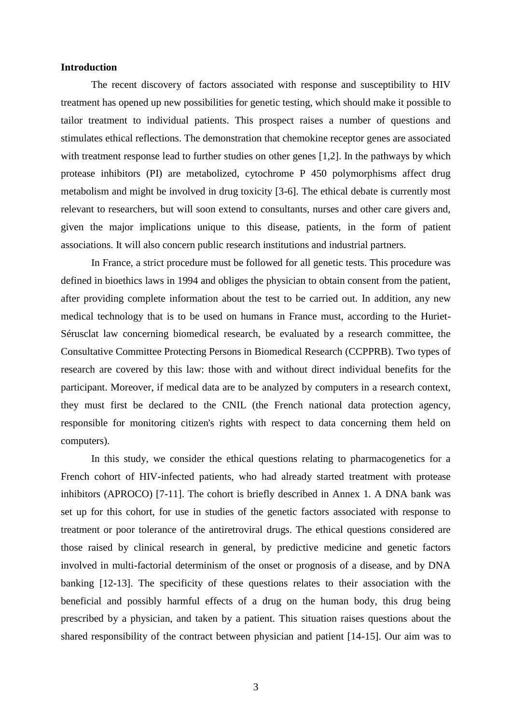## **Introduction**

The recent discovery of factors associated with response and susceptibility to HIV treatment has opened up new possibilities for genetic testing, which should make it possible to tailor treatment to individual patients. This prospect raises a number of questions and stimulates ethical reflections. The demonstration that chemokine receptor genes are associated with treatment response lead to further studies on other genes [1,2]. In the pathways by which protease inhibitors (PI) are metabolized, cytochrome P 450 polymorphisms affect drug metabolism and might be involved in drug toxicity [3-6]. The ethical debate is currently most relevant to researchers, but will soon extend to consultants, nurses and other care givers and, given the major implications unique to this disease, patients, in the form of patient associations. It will also concern public research institutions and industrial partners.

In France, a strict procedure must be followed for all genetic tests. This procedure was defined in bioethics laws in 1994 and obliges the physician to obtain consent from the patient, after providing complete information about the test to be carried out. In addition, any new medical technology that is to be used on humans in France must, according to the Huriet-Sérusclat law concerning biomedical research, be evaluated by a research committee, the Consultative Committee Protecting Persons in Biomedical Research (CCPPRB). Two types of research are covered by this law: those with and without direct individual benefits for the participant. Moreover, if medical data are to be analyzed by computers in a research context, they must first be declared to the CNIL (the French national data protection agency, responsible for monitoring citizen's rights with respect to data concerning them held on computers).

In this study, we consider the ethical questions relating to pharmacogenetics for a French cohort of HIV-infected patients, who had already started treatment with protease inhibitors (APROCO) [7-11]. The cohort is briefly described in Annex 1. A DNA bank was set up for this cohort, for use in studies of the genetic factors associated with response to treatment or poor tolerance of the antiretroviral drugs. The ethical questions considered are those raised by clinical research in general, by predictive medicine and genetic factors involved in multi-factorial determinism of the onset or prognosis of a disease, and by DNA banking [12-13]. The specificity of these questions relates to their association with the beneficial and possibly harmful effects of a drug on the human body, this drug being prescribed by a physician, and taken by a patient. This situation raises questions about the shared responsibility of the contract between physician and patient [14-15]. Our aim was to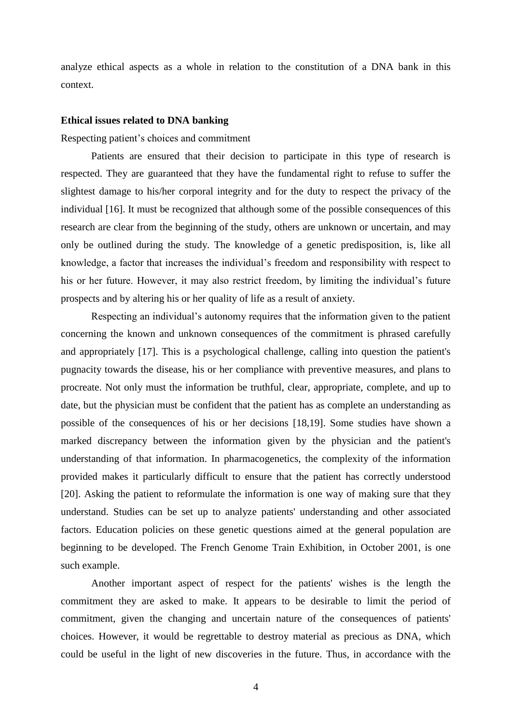analyze ethical aspects as a whole in relation to the constitution of a DNA bank in this context.

#### **Ethical issues related to DNA banking**

Respecting patient's choices and commitment

Patients are ensured that their decision to participate in this type of research is respected. They are guaranteed that they have the fundamental right to refuse to suffer the slightest damage to his/her corporal integrity and for the duty to respect the privacy of the individual [16]. It must be recognized that although some of the possible consequences of this research are clear from the beginning of the study, others are unknown or uncertain, and may only be outlined during the study. The knowledge of a genetic predisposition, is, like all knowledge, a factor that increases the individual's freedom and responsibility with respect to his or her future. However, it may also restrict freedom, by limiting the individual's future prospects and by altering his or her quality of life as a result of anxiety.

Respecting an individual's autonomy requires that the information given to the patient concerning the known and unknown consequences of the commitment is phrased carefully and appropriately [17]. This is a psychological challenge, calling into question the patient's pugnacity towards the disease, his or her compliance with preventive measures, and plans to procreate. Not only must the information be truthful, clear, appropriate, complete, and up to date, but the physician must be confident that the patient has as complete an understanding as possible of the consequences of his or her decisions [18,19]. Some studies have shown a marked discrepancy between the information given by the physician and the patient's understanding of that information. In pharmacogenetics, the complexity of the information provided makes it particularly difficult to ensure that the patient has correctly understood [20]. Asking the patient to reformulate the information is one way of making sure that they understand. Studies can be set up to analyze patients' understanding and other associated factors. Education policies on these genetic questions aimed at the general population are beginning to be developed. The French Genome Train Exhibition, in October 2001, is one such example.

Another important aspect of respect for the patients' wishes is the length the commitment they are asked to make. It appears to be desirable to limit the period of commitment, given the changing and uncertain nature of the consequences of patients' choices. However, it would be regrettable to destroy material as precious as DNA, which could be useful in the light of new discoveries in the future. Thus, in accordance with the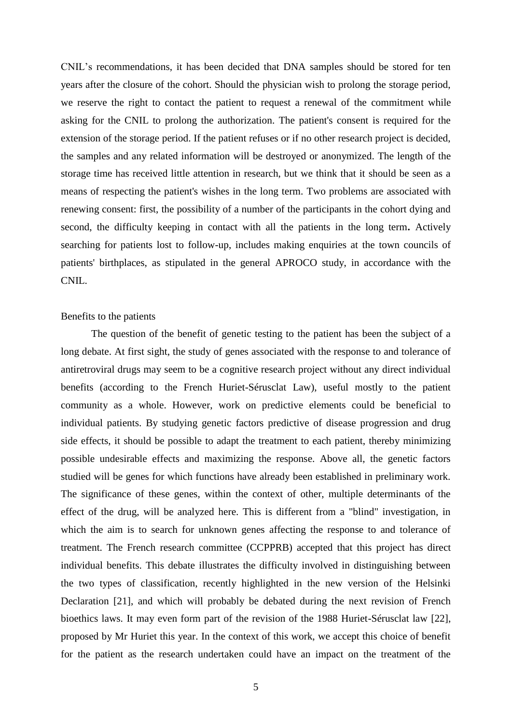CNIL's recommendations, it has been decided that DNA samples should be stored for ten years after the closure of the cohort. Should the physician wish to prolong the storage period, we reserve the right to contact the patient to request a renewal of the commitment while asking for the CNIL to prolong the authorization. The patient's consent is required for the extension of the storage period. If the patient refuses or if no other research project is decided, the samples and any related information will be destroyed or anonymized. The length of the storage time has received little attention in research, but we think that it should be seen as a means of respecting the patient's wishes in the long term. Two problems are associated with renewing consent: first, the possibility of a number of the participants in the cohort dying and second, the difficulty keeping in contact with all the patients in the long term**.** Actively searching for patients lost to follow-up, includes making enquiries at the town councils of patients' birthplaces, as stipulated in the general APROCO study, in accordance with the CNIL.

#### Benefits to the patients

The question of the benefit of genetic testing to the patient has been the subject of a long debate. At first sight, the study of genes associated with the response to and tolerance of antiretroviral drugs may seem to be a cognitive research project without any direct individual benefits (according to the French Huriet-Sérusclat Law), useful mostly to the patient community as a whole. However, work on predictive elements could be beneficial to individual patients. By studying genetic factors predictive of disease progression and drug side effects, it should be possible to adapt the treatment to each patient, thereby minimizing possible undesirable effects and maximizing the response. Above all, the genetic factors studied will be genes for which functions have already been established in preliminary work. The significance of these genes, within the context of other, multiple determinants of the effect of the drug, will be analyzed here. This is different from a "blind" investigation, in which the aim is to search for unknown genes affecting the response to and tolerance of treatment. The French research committee (CCPPRB) accepted that this project has direct individual benefits. This debate illustrates the difficulty involved in distinguishing between the two types of classification, recently highlighted in the new version of the Helsinki Declaration [21], and which will probably be debated during the next revision of French bioethics laws. It may even form part of the revision of the 1988 Huriet-Sérusclat law [22], proposed by Mr Huriet this year. In the context of this work, we accept this choice of benefit for the patient as the research undertaken could have an impact on the treatment of the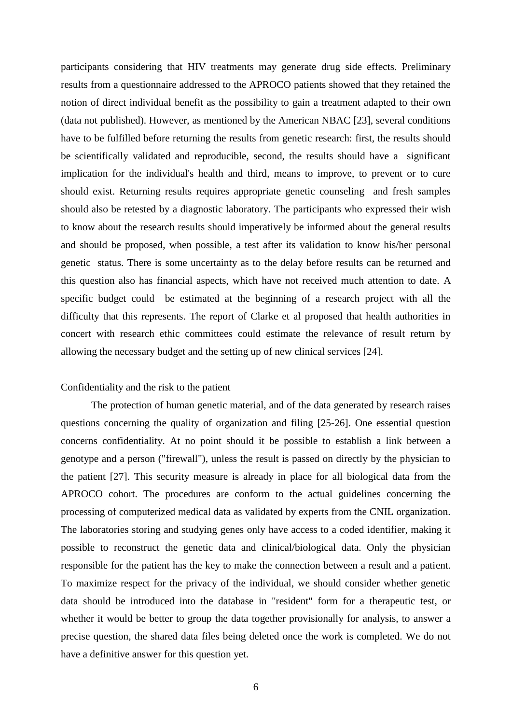participants considering that HIV treatments may generate drug side effects. Preliminary results from a questionnaire addressed to the APROCO patients showed that they retained the notion of direct individual benefit as the possibility to gain a treatment adapted to their own (data not published). However, as mentioned by the American NBAC [23], several conditions have to be fulfilled before returning the results from genetic research: first, the results should be scientifically validated and reproducible, second, the results should have a significant implication for the individual's health and third, means to improve, to prevent or to cure should exist. Returning results requires appropriate genetic counseling and fresh samples should also be retested by a diagnostic laboratory. The participants who expressed their wish to know about the research results should imperatively be informed about the general results and should be proposed, when possible, a test after its validation to know his/her personal genetic status. There is some uncertainty as to the delay before results can be returned and this question also has financial aspects, which have not received much attention to date. A specific budget could be estimated at the beginning of a research project with all the difficulty that this represents. The report of Clarke et al proposed that health authorities in concert with research ethic committees could estimate the relevance of result return by allowing the necessary budget and the setting up of new clinical services [24].

#### Confidentiality and the risk to the patient

The protection of human genetic material, and of the data generated by research raises questions concerning the quality of organization and filing [25-26]. One essential question concerns confidentiality. At no point should it be possible to establish a link between a genotype and a person ("firewall"), unless the result is passed on directly by the physician to the patient [27]. This security measure is already in place for all biological data from the APROCO cohort. The procedures are conform to the actual guidelines concerning the processing of computerized medical data as validated by experts from the CNIL organization. The laboratories storing and studying genes only have access to a coded identifier, making it possible to reconstruct the genetic data and clinical/biological data. Only the physician responsible for the patient has the key to make the connection between a result and a patient. To maximize respect for the privacy of the individual, we should consider whether genetic data should be introduced into the database in "resident" form for a therapeutic test, or whether it would be better to group the data together provisionally for analysis, to answer a precise question, the shared data files being deleted once the work is completed. We do not have a definitive answer for this question yet.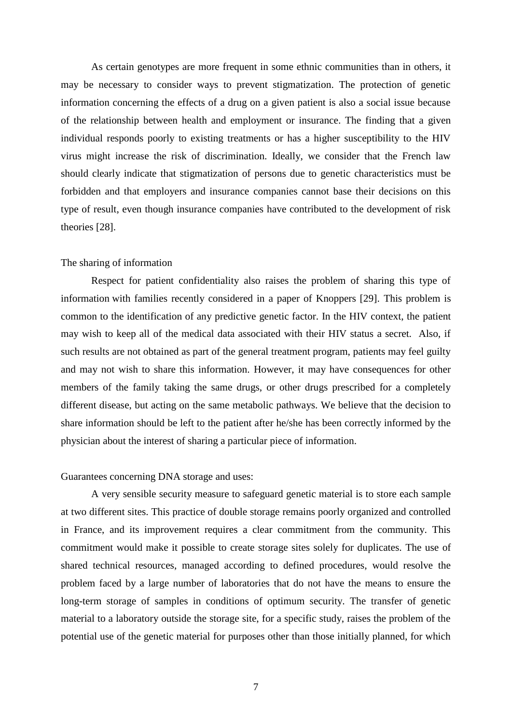As certain genotypes are more frequent in some ethnic communities than in others, it may be necessary to consider ways to prevent stigmatization. The protection of genetic information concerning the effects of a drug on a given patient is also a social issue because of the relationship between health and employment or insurance. The finding that a given individual responds poorly to existing treatments or has a higher susceptibility to the HIV virus might increase the risk of discrimination. Ideally, we consider that the French law should clearly indicate that stigmatization of persons due to genetic characteristics must be forbidden and that employers and insurance companies cannot base their decisions on this type of result, even though insurance companies have contributed to the development of risk theories [28].

#### The sharing of information

Respect for patient confidentiality also raises the problem of sharing this type of information with families recently considered in a paper of Knoppers [29]. This problem is common to the identification of any predictive genetic factor. In the HIV context, the patient may wish to keep all of the medical data associated with their HIV status a secret. Also, if such results are not obtained as part of the general treatment program, patients may feel guilty and may not wish to share this information. However, it may have consequences for other members of the family taking the same drugs, or other drugs prescribed for a completely different disease, but acting on the same metabolic pathways. We believe that the decision to share information should be left to the patient after he/she has been correctly informed by the physician about the interest of sharing a particular piece of information.

#### Guarantees concerning DNA storage and uses:

A very sensible security measure to safeguard genetic material is to store each sample at two different sites. This practice of double storage remains poorly organized and controlled in France, and its improvement requires a clear commitment from the community. This commitment would make it possible to create storage sites solely for duplicates. The use of shared technical resources, managed according to defined procedures, would resolve the problem faced by a large number of laboratories that do not have the means to ensure the long-term storage of samples in conditions of optimum security. The transfer of genetic material to a laboratory outside the storage site, for a specific study, raises the problem of the potential use of the genetic material for purposes other than those initially planned, for which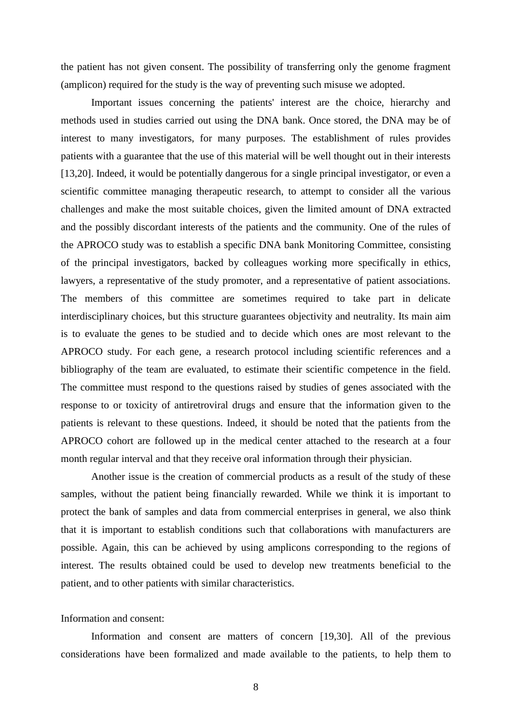the patient has not given consent. The possibility of transferring only the genome fragment (amplicon) required for the study is the way of preventing such misuse we adopted.

Important issues concerning the patients' interest are the choice, hierarchy and methods used in studies carried out using the DNA bank. Once stored, the DNA may be of interest to many investigators, for many purposes. The establishment of rules provides patients with a guarantee that the use of this material will be well thought out in their interests [13,20]. Indeed, it would be potentially dangerous for a single principal investigator, or even a scientific committee managing therapeutic research, to attempt to consider all the various challenges and make the most suitable choices, given the limited amount of DNA extracted and the possibly discordant interests of the patients and the community. One of the rules of the APROCO study was to establish a specific DNA bank Monitoring Committee, consisting of the principal investigators, backed by colleagues working more specifically in ethics, lawyers, a representative of the study promoter, and a representative of patient associations. The members of this committee are sometimes required to take part in delicate interdisciplinary choices, but this structure guarantees objectivity and neutrality. Its main aim is to evaluate the genes to be studied and to decide which ones are most relevant to the APROCO study. For each gene, a research protocol including scientific references and a bibliography of the team are evaluated, to estimate their scientific competence in the field. The committee must respond to the questions raised by studies of genes associated with the response to or toxicity of antiretroviral drugs and ensure that the information given to the patients is relevant to these questions. Indeed, it should be noted that the patients from the APROCO cohort are followed up in the medical center attached to the research at a four month regular interval and that they receive oral information through their physician.

Another issue is the creation of commercial products as a result of the study of these samples, without the patient being financially rewarded. While we think it is important to protect the bank of samples and data from commercial enterprises in general, we also think that it is important to establish conditions such that collaborations with manufacturers are possible. Again, this can be achieved by using amplicons corresponding to the regions of interest. The results obtained could be used to develop new treatments beneficial to the patient, and to other patients with similar characteristics.

## Information and consent:

Information and consent are matters of concern [19,30]. All of the previous considerations have been formalized and made available to the patients, to help them to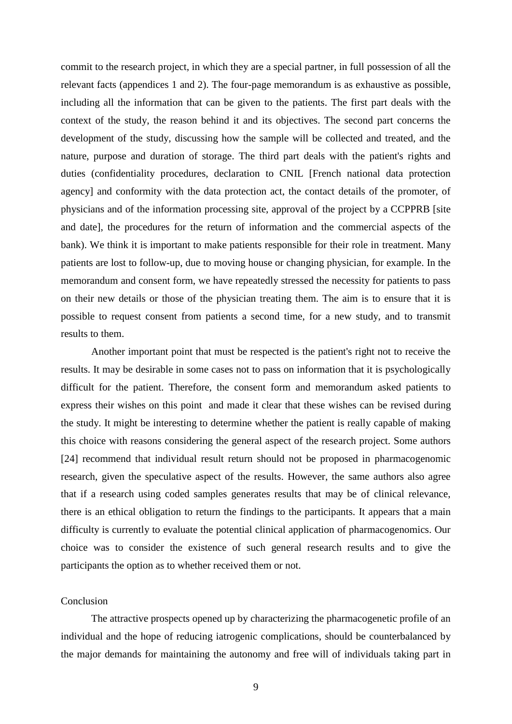commit to the research project, in which they are a special partner, in full possession of all the relevant facts (appendices 1 and 2). The four-page memorandum is as exhaustive as possible, including all the information that can be given to the patients. The first part deals with the context of the study, the reason behind it and its objectives. The second part concerns the development of the study, discussing how the sample will be collected and treated, and the nature, purpose and duration of storage. The third part deals with the patient's rights and duties (confidentiality procedures, declaration to CNIL [French national data protection agency] and conformity with the data protection act, the contact details of the promoter, of physicians and of the information processing site, approval of the project by a CCPPRB [site and date], the procedures for the return of information and the commercial aspects of the bank). We think it is important to make patients responsible for their role in treatment. Many patients are lost to follow-up, due to moving house or changing physician, for example. In the memorandum and consent form, we have repeatedly stressed the necessity for patients to pass on their new details or those of the physician treating them. The aim is to ensure that it is possible to request consent from patients a second time, for a new study, and to transmit results to them.

Another important point that must be respected is the patient's right not to receive the results. It may be desirable in some cases not to pass on information that it is psychologically difficult for the patient. Therefore, the consent form and memorandum asked patients to express their wishes on this point and made it clear that these wishes can be revised during the study. It might be interesting to determine whether the patient is really capable of making this choice with reasons considering the general aspect of the research project. Some authors [24] recommend that individual result return should not be proposed in pharmacogenomic research, given the speculative aspect of the results. However, the same authors also agree that if a research using coded samples generates results that may be of clinical relevance, there is an ethical obligation to return the findings to the participants. It appears that a main difficulty is currently to evaluate the potential clinical application of pharmacogenomics. Our choice was to consider the existence of such general research results and to give the participants the option as to whether received them or not.

#### Conclusion

The attractive prospects opened up by characterizing the pharmacogenetic profile of an individual and the hope of reducing iatrogenic complications, should be counterbalanced by the major demands for maintaining the autonomy and free will of individuals taking part in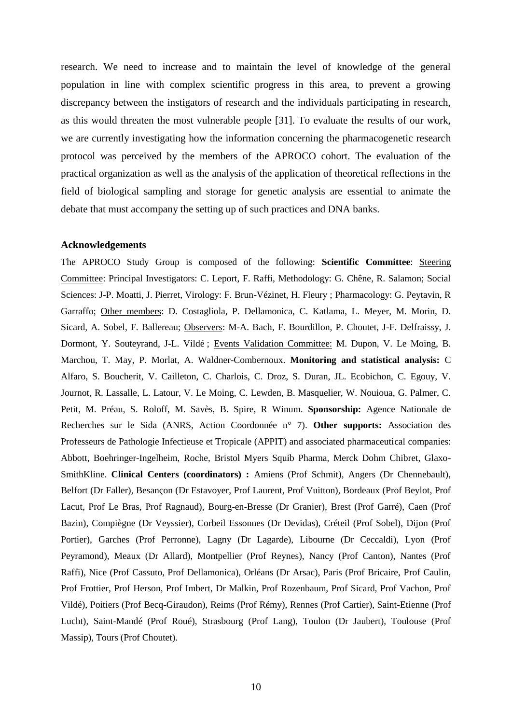research. We need to increase and to maintain the level of knowledge of the general population in line with complex scientific progress in this area, to prevent a growing discrepancy between the instigators of research and the individuals participating in research, as this would threaten the most vulnerable people [31]. To evaluate the results of our work, we are currently investigating how the information concerning the pharmacogenetic research protocol was perceived by the members of the APROCO cohort. The evaluation of the practical organization as well as the analysis of the application of theoretical reflections in the field of biological sampling and storage for genetic analysis are essential to animate the debate that must accompany the setting up of such practices and DNA banks.

#### **Acknowledgements**

The APROCO Study Group is composed of the following: **Scientific Committee**: Steering Committee: Principal Investigators: C. Leport, F. Raffi, Methodology: G. Chêne, R. Salamon; Social Sciences: J-P. Moatti, J. Pierret, Virology: F. Brun-Vézinet, H. Fleury ; Pharmacology: G. Peytavin, R Garraffo; Other members: D. Costagliola, P. Dellamonica, C. Katlama, L. Meyer, M. Morin, D. Sicard, A. Sobel, F. Ballereau; Observers: M-A. Bach, F. Bourdillon, P. Choutet, J-F. Delfraissy, J. Dormont, Y. Souteyrand, J-L. Vildé ; Events Validation Committee: M. Dupon, V. Le Moing, B. Marchou, T. May, P. Morlat, A. Waldner-Combernoux. **Monitoring and statistical analysis:** C Alfaro, S. Boucherit, V. Cailleton, C. Charlois, C. Droz, S. Duran, JL. Ecobichon, C. Egouy, V. Journot, R. Lassalle, L. Latour, V. Le Moing, C. Lewden, B. Masquelier, W. Nouioua, G. Palmer, C. Petit, M. Préau, S. Roloff, M. Savès, B. Spire, R Winum. **Sponsorship:** Agence Nationale de Recherches sur le Sida (ANRS, Action Coordonnée n° 7). **Other supports:** Association des Professeurs de Pathologie Infectieuse et Tropicale (APPIT) and associated pharmaceutical companies: Abbott, Boehringer-Ingelheim, Roche, Bristol Myers Squib Pharma, Merck Dohm Chibret, Glaxo-SmithKline. **Clinical Centers (coordinators) :** Amiens (Prof Schmit), Angers (Dr Chennebault), Belfort (Dr Faller), Besançon (Dr Estavoyer, Prof Laurent, Prof Vuitton), Bordeaux (Prof Beylot, Prof Lacut, Prof Le Bras, Prof Ragnaud), Bourg-en-Bresse (Dr Granier), Brest (Prof Garré), Caen (Prof Bazin), Compiègne (Dr Veyssier), Corbeil Essonnes (Dr Devidas), Créteil (Prof Sobel), Dijon (Prof Portier), Garches (Prof Perronne), Lagny (Dr Lagarde), Libourne (Dr Ceccaldi), Lyon (Prof Peyramond), Meaux (Dr Allard), Montpellier (Prof Reynes), Nancy (Prof Canton), Nantes (Prof Raffi), Nice (Prof Cassuto, Prof Dellamonica), Orléans (Dr Arsac), Paris (Prof Bricaire, Prof Caulin, Prof Frottier, Prof Herson, Prof Imbert, Dr Malkin, Prof Rozenbaum, Prof Sicard, Prof Vachon, Prof Vildé), Poitiers (Prof Becq-Giraudon), Reims (Prof Rémy), Rennes (Prof Cartier), Saint-Etienne (Prof Lucht), Saint-Mandé (Prof Roué), Strasbourg (Prof Lang), Toulon (Dr Jaubert), Toulouse (Prof Massip), Tours (Prof Choutet).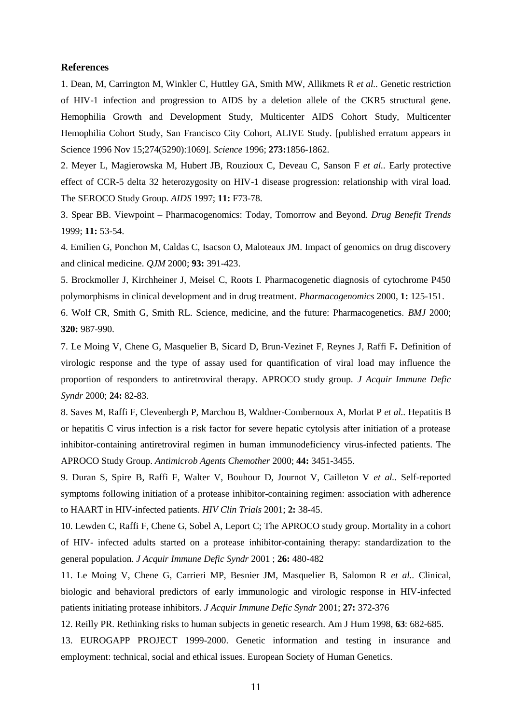#### **References**

1. Dean, M, Carrington M, Winkler C, Huttley GA, Smith MW, Allikmets R *et al..* Genetic restriction of HIV-1 infection and progression to AIDS by a deletion allele of the CKR5 structural gene. Hemophilia Growth and Development Study, Multicenter AIDS Cohort Study, Multicenter Hemophilia Cohort Study, San Francisco City Cohort, ALIVE Study. [published erratum appears in Science 1996 Nov 15;274(5290):1069]. *Science* 1996; **273:**1856-1862.

2. Meyer L, Magierowska M, Hubert JB, Rouzioux C, Deveau C, Sanson F *et al..* Early protective effect of CCR-5 delta 32 heterozygosity on HIV-1 disease progression: relationship with viral load. The SEROCO Study Group. *AIDS* 1997; **11:** F73-78.

3. Spear BB. Viewpoint – Pharmacogenomics: Today, Tomorrow and Beyond. *Drug Benefit Trends* 1999; **11:** 53-54.

4. Emilien G, Ponchon M, Caldas C, Isacson O, Maloteaux JM. Impact of genomics on drug discovery and clinical medicine. *QJM* 2000; **93:** 391-423.

5. Brockmoller J, Kirchheiner J, Meisel C, Roots I. Pharmacogenetic diagnosis of cytochrome P450 polymorphisms in clinical development and in drug treatment. *Pharmacogenomics* 2000, **1:** 125-151.

6. Wolf CR, Smith G, Smith RL. Science, medicine, and the future: Pharmacogenetics. *BMJ* 2000; **320:** 987-990.

7. Le Moing V, Chene G, Masquelier B, Sicard D, Brun-Vezinet F, Reynes J, Raffi F**.** Definition of virologic response and the type of assay used for quantification of viral load may influence the proportion of responders to antiretroviral therapy. APROCO study group. *J Acquir Immune Defic Syndr* 2000; **24:** 82-83.

8. Saves M, Raffi F, Clevenbergh P, Marchou B, Waldner-Combernoux A, Morlat P *et al..* Hepatitis B or hepatitis C virus infection is a risk factor for severe hepatic cytolysis after initiation of a protease inhibitor-containing antiretroviral regimen in human immunodeficiency virus-infected patients. The APROCO Study Group. *Antimicrob Agents Chemother* 2000; **44:** 3451-3455.

9. Duran S, Spire B, Raffi F, Walter V, Bouhour D, Journot V, Cailleton V *et al..* Self-reported symptoms following initiation of a protease inhibitor-containing regimen: association with adherence to HAART in HIV-infected patients. *HIV Clin Trials* 2001; **2:** 38-45.

10. Lewden C, Raffi F, Chene G, Sobel A, Leport C; The APROCO study group. Mortality in a cohort of HIV- infected adults started on a protease inhibitor-containing therapy: standardization to the general population. *J Acquir Immune Defic Syndr* 2001 ; **26:** 480-482

11. Le Moing V, Chene G, Carrieri MP, Besnier JM, Masquelier B, Salomon R *et al..* Clinical, biologic and behavioral predictors of early immunologic and virologic response in HIV-infected patients initiating protease inhibitors. *J Acquir Immune Defic Syndr* 2001; **27:** 372-376

12. Reilly PR. Rethinking risks to human subjects in genetic research. Am J Hum 1998, **63**: 682-685.

13. EUROGAPP PROJECT 1999-2000. Genetic information and testing in insurance and employment: technical, social and ethical issues. European Society of Human Genetics.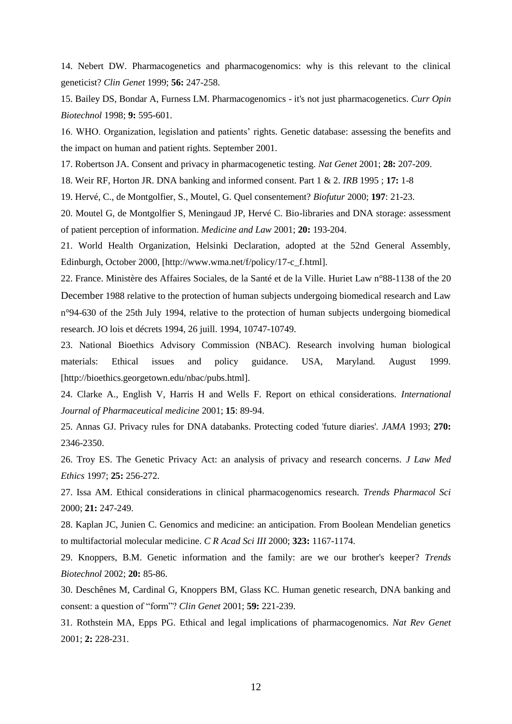14. Nebert DW. Pharmacogenetics and pharmacogenomics: why is this relevant to the clinical geneticist? *Clin Genet* 1999; **56:** 247-258.

15. Bailey DS, Bondar A, Furness LM. Pharmacogenomics - it's not just pharmacogenetics. *Curr Opin Biotechnol* 1998; **9:** 595-601.

16. WHO. Organization, legislation and patients' rights. Genetic database: assessing the benefits and the impact on human and patient rights. September 2001.

17. Robertson JA. Consent and privacy in pharmacogenetic testing. *Nat Genet* 2001; **28:** 207-209.

18. Weir RF, Horton JR. DNA banking and informed consent. Part 1 & 2. *IRB* 1995 ; **17:** 1-8

19. Hervé, C., de Montgolfier, S., Moutel, G. Quel consentement? *Biofutur* 2000; **197**: 21-23.

20. Moutel G, de Montgolfier S, Meningaud JP, Hervé C. Bio-libraries and DNA storage: assessment of patient perception of information. *Medicine and Law* 2001; **20:** 193-204.

21. World Health Organization, Helsinki Declaration, adopted at the 52nd General Assembly, Edinburgh, October 2000, [http://www.wma.net/f/policy/17-c\_f.html].

22. France. Ministère des Affaires Sociales, de la Santé et de la Ville. Huriet Law n°88-1138 of the 20 December 1988 relative to the protection of human subjects undergoing biomedical research and Law n°94-630 of the 25th July 1994, relative to the protection of human subjects undergoing biomedical research. JO lois et décrets 1994, 26 juill. 1994, 10747-10749.

23. National Bioethics Advisory Commission (NBAC). Research involving human biological materials: Ethical issues and policy guidance. USA, Maryland. August 1999. [http://bioethics.georgetown.edu/nbac/pubs.html].

24. Clarke A., English V, Harris H and Wells F. Report on ethical considerations. *International Journal of Pharmaceutical medicine* 2001; **15**: 89-94.

25. Annas GJ. Privacy rules for DNA databanks. Protecting coded 'future diaries'. *JAMA* 1993; **270:**  2346-2350.

26. Troy ES. The Genetic Privacy Act: an analysis of privacy and research concerns. *J Law Med Ethics* 1997; **25:** 256-272.

27. Issa AM. Ethical considerations in clinical pharmacogenomics research. *Trends Pharmacol Sci* 2000; **21:** 247-249.

28. Kaplan JC, Junien C. Genomics and medicine: an anticipation. From Boolean Mendelian genetics to multifactorial molecular medicine. *C R Acad Sci III* 2000; **323:** 1167-1174.

29. Knoppers, B.M. Genetic information and the family: are we our brother's keeper? *Trends Biotechnol* 2002; **20:** 85-86.

30. Deschênes M, Cardinal G, Knoppers BM, Glass KC. Human genetic research, DNA banking and consent: a question of "form"? *Clin Genet* 2001; **59:** 221-239.

31. Rothstein MA, Epps PG. Ethical and legal implications of pharmacogenomics. *Nat Rev Genet* 2001; **2:** 228-231.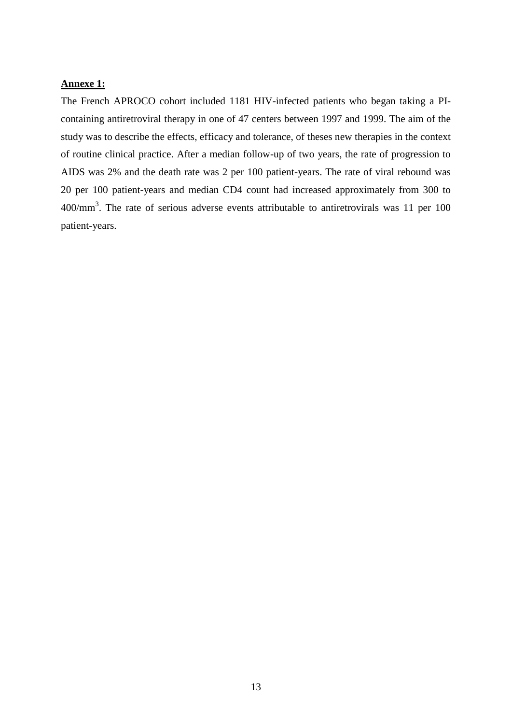# **Annexe 1:**

The French APROCO cohort included 1181 HIV-infected patients who began taking a PIcontaining antiretroviral therapy in one of 47 centers between 1997 and 1999. The aim of the study was to describe the effects, efficacy and tolerance, of theses new therapies in the context of routine clinical practice. After a median follow-up of two years, the rate of progression to AIDS was 2% and the death rate was 2 per 100 patient-years. The rate of viral rebound was 20 per 100 patient-years and median CD4 count had increased approximately from 300 to  $400/\text{mm}^3$ . The rate of serious adverse events attributable to antiretrovirals was 11 per 100 patient-years.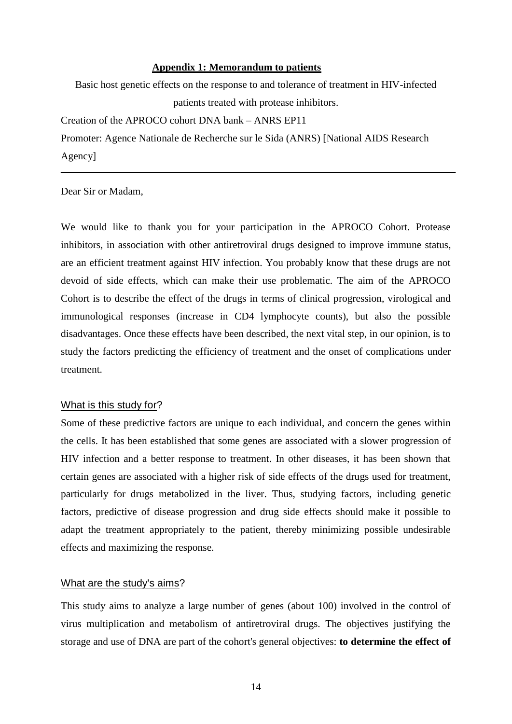#### **Appendix 1: Memorandum to patients**

Basic host genetic effects on the response to and tolerance of treatment in HIV-infected patients treated with protease inhibitors. Creation of the APROCO cohort DNA bank – ANRS EP11 Promoter: Agence Nationale de Recherche sur le Sida (ANRS) [National AIDS Research Agency]

Dear Sir or Madam,

We would like to thank you for your participation in the APROCO Cohort. Protease inhibitors, in association with other antiretroviral drugs designed to improve immune status, are an efficient treatment against HIV infection. You probably know that these drugs are not devoid of side effects, which can make their use problematic. The aim of the APROCO Cohort is to describe the effect of the drugs in terms of clinical progression, virological and immunological responses (increase in CD4 lymphocyte counts), but also the possible disadvantages. Once these effects have been described, the next vital step, in our opinion, is to study the factors predicting the efficiency of treatment and the onset of complications under treatment.

#### What is this study for?

Some of these predictive factors are unique to each individual, and concern the genes within the cells. It has been established that some genes are associated with a slower progression of HIV infection and a better response to treatment. In other diseases, it has been shown that certain genes are associated with a higher risk of side effects of the drugs used for treatment, particularly for drugs metabolized in the liver. Thus, studying factors, including genetic factors, predictive of disease progression and drug side effects should make it possible to adapt the treatment appropriately to the patient, thereby minimizing possible undesirable effects and maximizing the response.

#### What are the study's aims?

This study aims to analyze a large number of genes (about 100) involved in the control of virus multiplication and metabolism of antiretroviral drugs. The objectives justifying the storage and use of DNA are part of the cohort's general objectives: **to determine the effect of**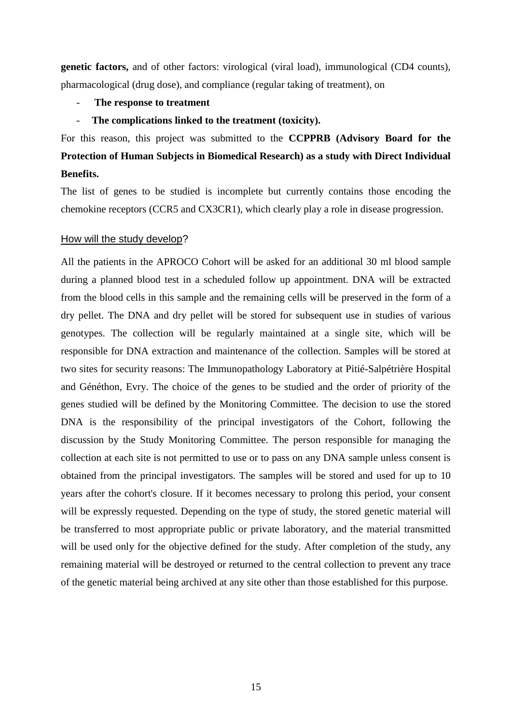**genetic factors,** and of other factors: virological (viral load), immunological (CD4 counts), pharmacological (drug dose), and compliance (regular taking of treatment), on

- **The response to treatment**
- **The complications linked to the treatment (toxicity).**

For this reason, this project was submitted to the **CCPPRB (Advisory Board for the Protection of Human Subjects in Biomedical Research) as a study with Direct Individual Benefits.** 

The list of genes to be studied is incomplete but currently contains those encoding the chemokine receptors (CCR5 and CX3CR1), which clearly play a role in disease progression.

#### How will the study develop?

All the patients in the APROCO Cohort will be asked for an additional 30 ml blood sample during a planned blood test in a scheduled follow up appointment. DNA will be extracted from the blood cells in this sample and the remaining cells will be preserved in the form of a dry pellet. The DNA and dry pellet will be stored for subsequent use in studies of various genotypes. The collection will be regularly maintained at a single site, which will be responsible for DNA extraction and maintenance of the collection. Samples will be stored at two sites for security reasons: The Immunopathology Laboratory at Pitié-Salpétrière Hospital and Généthon, Evry. The choice of the genes to be studied and the order of priority of the genes studied will be defined by the Monitoring Committee. The decision to use the stored DNA is the responsibility of the principal investigators of the Cohort, following the discussion by the Study Monitoring Committee. The person responsible for managing the collection at each site is not permitted to use or to pass on any DNA sample unless consent is obtained from the principal investigators. The samples will be stored and used for up to 10 years after the cohort's closure. If it becomes necessary to prolong this period, your consent will be expressly requested. Depending on the type of study, the stored genetic material will be transferred to most appropriate public or private laboratory, and the material transmitted will be used only for the objective defined for the study. After completion of the study, any remaining material will be destroyed or returned to the central collection to prevent any trace of the genetic material being archived at any site other than those established for this purpose.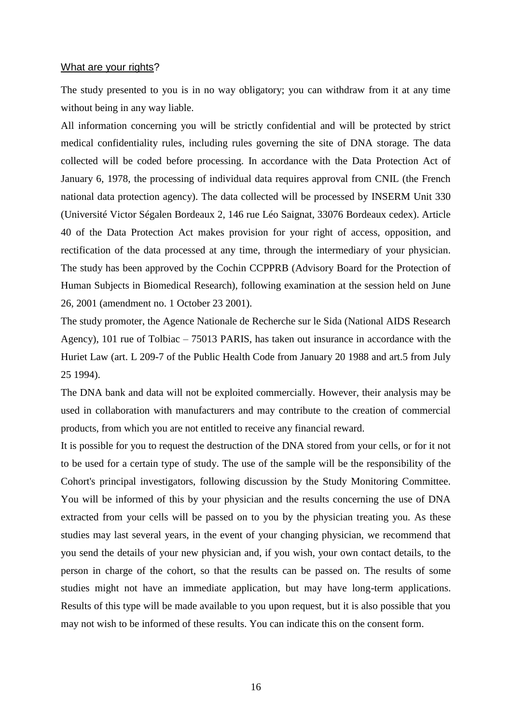#### What are your rights?

The study presented to you is in no way obligatory; you can withdraw from it at any time without being in any way liable.

All information concerning you will be strictly confidential and will be protected by strict medical confidentiality rules, including rules governing the site of DNA storage. The data collected will be coded before processing. In accordance with the Data Protection Act of January 6, 1978, the processing of individual data requires approval from CNIL (the French national data protection agency). The data collected will be processed by INSERM Unit 330 (Université Victor Ségalen Bordeaux 2, 146 rue Léo Saignat, 33076 Bordeaux cedex). Article 40 of the Data Protection Act makes provision for your right of access, opposition, and rectification of the data processed at any time, through the intermediary of your physician. The study has been approved by the Cochin CCPPRB (Advisory Board for the Protection of Human Subjects in Biomedical Research), following examination at the session held on June 26, 2001 (amendment no. 1 October 23 2001).

The study promoter, the Agence Nationale de Recherche sur le Sida (National AIDS Research Agency), 101 rue of Tolbiac – 75013 PARIS, has taken out insurance in accordance with the Huriet Law (art. L 209-7 of the Public Health Code from January 20 1988 and art.5 from July 25 1994).

The DNA bank and data will not be exploited commercially*.* However, their analysis may be used in collaboration with manufacturers and may contribute to the creation of commercial products, from which you are not entitled to receive any financial reward.

It is possible for you to request the destruction of the DNA stored from your cells, or for it not to be used for a certain type of study. The use of the sample will be the responsibility of the Cohort's principal investigators, following discussion by the Study Monitoring Committee. You will be informed of this by your physician and the results concerning the use of DNA extracted from your cells will be passed on to you by the physician treating you. As these studies may last several years, in the event of your changing physician, we recommend that you send the details of your new physician and, if you wish, your own contact details, to the person in charge of the cohort, so that the results can be passed on. The results of some studies might not have an immediate application, but may have long-term applications. Results of this type will be made available to you upon request, but it is also possible that you may not wish to be informed of these results. You can indicate this on the consent form.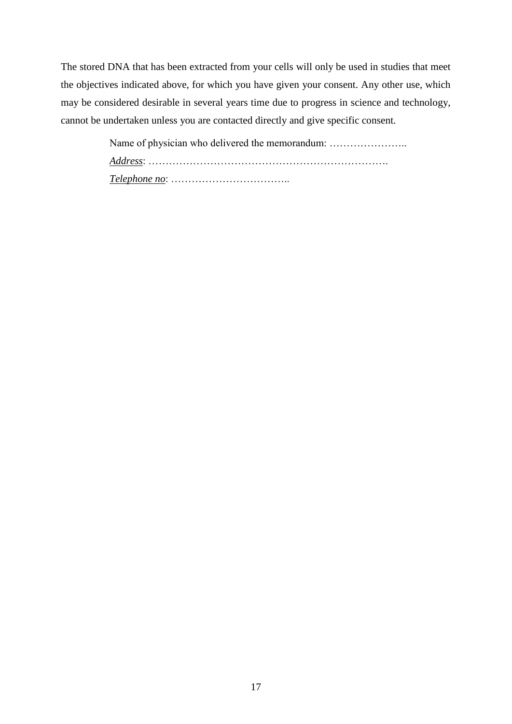The stored DNA that has been extracted from your cells will only be used in studies that meet the objectives indicated above, for which you have given your consent. Any other use, which may be considered desirable in several years time due to progress in science and technology, cannot be undertaken unless you are contacted directly and give specific consent.

> Name of physician who delivered the memorandum: ………………….. *Address*: ……………………………………………………………. *Telephone no*: ……………………………..